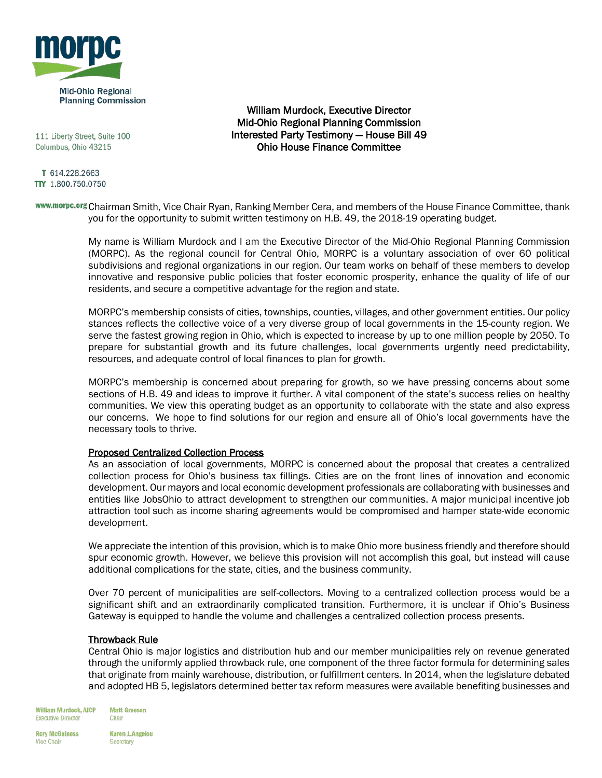

111 Liberty Street, Suite 100 Columbus, Ohio 43215

T 614.228.2663 TTY 1.800.750.0750

William Murdock, Executive Director Mid-Ohio Regional Planning Commission Interested Party Testimony — House Bill 49 Ohio House Finance Committee

www.morpc.org Chairman Smith, Vice Chair Ryan, Ranking Member Cera, and members of the House Finance Committee, thank you for the opportunity to submit written testimony on H.B. 49, the 2018-19 operating budget.

> My name is William Murdock and I am the Executive Director of the Mid-Ohio Regional Planning Commission (MORPC). As the regional council for Central Ohio, MORPC is a voluntary association of over 60 political subdivisions and regional organizations in our region. Our team works on behalf of these members to develop innovative and responsive public policies that foster economic prosperity, enhance the quality of life of our residents, and secure a competitive advantage for the region and state.

> MORPC's membership consists of cities, townships, counties, villages, and other government entities. Our policy stances reflects the collective voice of a very diverse group of local governments in the 15-county region. We serve the fastest growing region in Ohio, which is expected to increase by up to one million people by 2050. To prepare for substantial growth and its future challenges, local governments urgently need predictability, resources, and adequate control of local finances to plan for growth.

> MORPC's membership is concerned about preparing for growth, so we have pressing concerns about some sections of H.B. 49 and ideas to improve it further. A vital component of the state's success relies on healthy communities. We view this operating budget as an opportunity to collaborate with the state and also express our concerns. We hope to find solutions for our region and ensure all of Ohio's local governments have the necessary tools to thrive.

### Proposed Centralized Collection Process

As an association of local governments, MORPC is concerned about the proposal that creates a centralized collection process for Ohio's business tax fillings. Cities are on the front lines of innovation and economic development. Our mayors and local economic development professionals are collaborating with businesses and entities like JobsOhio to attract development to strengthen our communities. A major municipal incentive job attraction tool such as income sharing agreements would be compromised and hamper state-wide economic development.

We appreciate the intention of this provision, which is to make Ohio more business friendly and therefore should spur economic growth. However, we believe this provision will not accomplish this goal, but instead will cause additional complications for the state, cities, and the business community.

Over 70 percent of municipalities are self-collectors. Moving to a centralized collection process would be a significant shift and an extraordinarily complicated transition. Furthermore, it is unclear if Ohio's Business Gateway is equipped to handle the volume and challenges a centralized collection process presents.

### Throwback Rule

Central Ohio is major logistics and distribution hub and our member municipalities rely on revenue generated through the uniformly applied throwback rule, one component of the three factor formula for determining sales that originate from mainly warehouse, distribution, or fulfillment centers. In 2014, when the legislature debated and adopted HB 5, legislators determined better tax reform measures were available benefiting businesses and

**William Murdock, AICP Executive Director** 

**Matt Greeson** Chair

**Rory McGuiness Vice Chair** 

**Karen J. Angelou** Secretary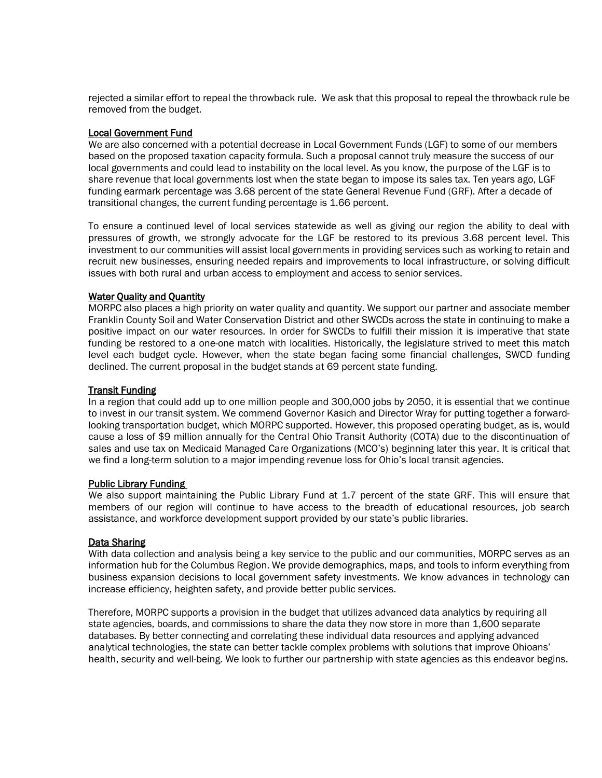rejected a similar effort to repeal the throwback rule. We ask that this proposal to repeal the throwback rule be removed from the budget.

# Local Government Fund

We are also concerned with a potential decrease in Local Government Funds (LGF) to some of our members based on the proposed taxation capacity formula. Such a proposal cannot truly measure the success of our local governments and could lead to instability on the local level. As you know, the purpose of the LGF is to share revenue that local governments lost when the state began to impose its sales tax. Ten years ago, LGF funding earmark percentage was 3.68 percent of the state General Revenue Fund (GRF). After a decade of transitional changes, the current funding percentage is 1.66 percent.

To ensure a continued level of local services statewide as well as giving our region the ability to deal with pressures of growth, we strongly advocate for the LGF be restored to its previous 3.68 percent level. This investment to our communities will assist local governments in providing services such as working to retain and recruit new businesses, ensuring needed repairs and improvements to local infrastructure, or solving difficult issues with both rural and urban access to employment and access to senior services.

### **Water Quality and Quantity**

MORPC also places a high priority on water quality and quantity. We support our partner and associate member Franklin County Soil and Water Conservation District and other SWCDs across the state in continuing to make a positive impact on our water resources. In order for SWCDs to fulfill their mission it is imperative that state funding be restored to a one-one match with localities. Historically, the legislature strived to meet this match level each budget cycle. However, when the state began facing some financial challenges, SWCD funding declined. The current proposal in the budget stands at 69 percent state funding.

# Transit Funding

In a region that could add up to one million people and 300,000 jobs by 2050, it is essential that we continue to invest in our transit system. We commend Governor Kasich and Director Wray for putting together a forwardlooking transportation budget, which MORPC supported. However, this proposed operating budget, as is, would cause a loss of \$9 million annually for the Central Ohio Transit Authority (COTA) due to the discontinuation of sales and use tax on Medicaid Managed Care Organizations (MCO's) beginning later this year. It is critical that we find a long-term solution to a major impending revenue loss for Ohio's local transit agencies.

### Public Library Funding

We also support maintaining the Public Library Fund at 1.7 percent of the state GRF. This will ensure that members of our region will continue to have access to the breadth of educational resources, job search assistance, and workforce development support provided by our state's public libraries.

### Data Sharing

With data collection and analysis being a key service to the public and our communities, MORPC serves as an information hub for the Columbus Region. We provide demographics, maps, and tools to inform everything from business expansion decisions to local government safety investments. We know advances in technology can increase efficiency, heighten safety, and provide better public services.

Therefore, MORPC supports a provision in the budget that utilizes advanced data analytics by requiring all state agencies, boards, and commissions to share the data they now store in more than 1,600 separate databases. By better connecting and correlating these individual data resources and applying advanced analytical technologies, the state can better tackle complex problems with solutions that improve Ohioans' health, security and well-being. We look to further our partnership with state agencies as this endeavor begins.